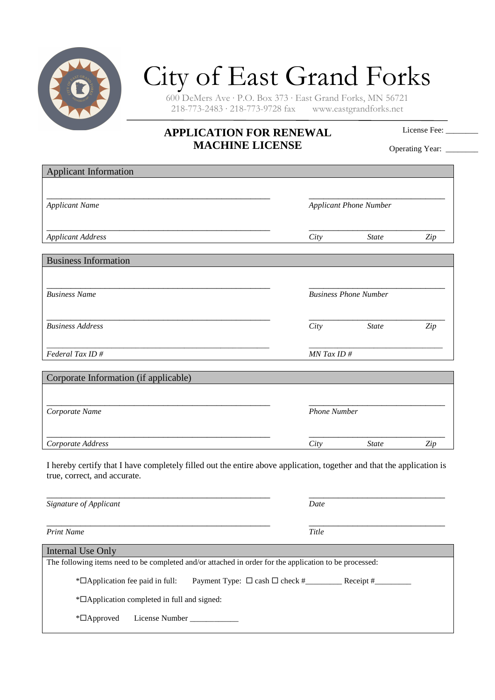

## City of East Grand Forks

600 DeMers Ave · P.O. Box 373 · East Grand Forks, MN 56721  $218-773-2483 \cdot 218-773-9728$  fax

## **APPLICATION FOR RENEWAL MACHINE LICENSE**

License Fee:

Operating Year: \_\_\_\_\_\_\_

| <b>Applicant Information</b>                                                                                                                          |                               |              |     |
|-------------------------------------------------------------------------------------------------------------------------------------------------------|-------------------------------|--------------|-----|
| <b>Applicant Name</b>                                                                                                                                 | <b>Applicant Phone Number</b> |              |     |
| <b>Applicant Address</b>                                                                                                                              | City                          | <b>State</b> | Zip |
| <b>Business Information</b>                                                                                                                           |                               |              |     |
| <b>Business Name</b>                                                                                                                                  | <b>Business Phone Number</b>  |              |     |
| <b>Business Address</b>                                                                                                                               | City                          | <b>State</b> | Zip |
| Federal Tax ID#                                                                                                                                       | $MN$ Tax ID #                 |              |     |
| Corporate Information (if applicable)                                                                                                                 |                               |              |     |
| Corporate Name                                                                                                                                        | <b>Phone Number</b>           |              |     |
| Corporate Address                                                                                                                                     | City                          | <b>State</b> | Zip |
| I hereby certify that I have completely filled out the entire above application, together and that the application is<br>true, correct, and accurate. |                               |              |     |
| Signature of Applicant                                                                                                                                | Date                          |              |     |
| <b>Print Name</b>                                                                                                                                     | Title                         |              |     |
| Internal Use Only                                                                                                                                     |                               |              |     |
| The following items need to be completed and/or attached in order for the application to be processed:                                                |                               |              |     |

\* $\Box$ Application fee paid in full: Payment Type:  $\Box$  cash  $\Box$  check # Receipt #

\*Application completed in full and signed:

\*Approved License Number \_\_\_\_\_\_\_\_\_\_\_\_